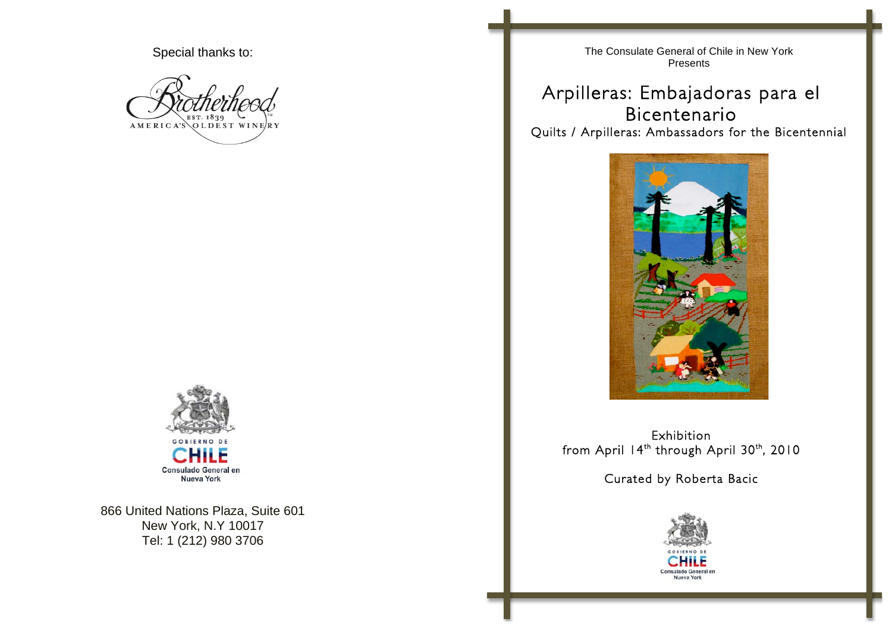Special thanks to:

AMERICA'S OLDEST WINERY



866 United Nations Plaza, Suite 601 New York, N.Y 10017 Tel: 1 (212) 980 3706

The Consulate General of Chile in New York Presents

Arpilleras: Embajadoras para el Bicentenario<br>Quilts / Arpilleras: Ambassadors for the Bicentennial



Exhibition from April 14<sup>th</sup> through April 30<sup>th</sup>, 2010

Curated by Roberta Bacic

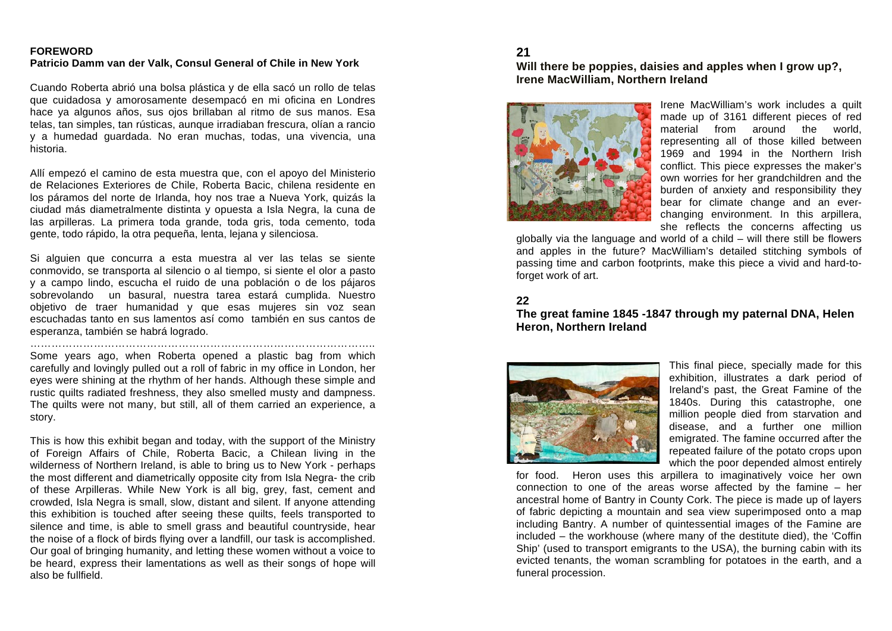#### **FOREWORD Patricio Damm van der Valk, Consul General of Chile in New York**

Cuando Roberta abrió una bolsa plástica y de ella sacó un rollo de telas que cuidadosa y amorosamente desempacó en mi oficina en Londres hace ya algunos años, sus ojos brillaban al ritmo de sus manos. Esa telas, tan simples, tan rústicas, aunque irradiaban frescura, olían a rancio y a humedad guardada. No eran muchas, todas, una vivencia, una historia.

Allí empezó el camino de esta muestra que, con el apoyo del Ministerio de Relaciones Exteriores de Chile, Roberta Bacic, chilena residente en los páramos del norte de Irlanda, hoy nos trae a Nueva York, quizás la ciudad más diametralmente distinta y opuesta a Isla Negra, la cuna de las arpilleras. La primera toda grande, toda gris, toda cemento, toda gente, todo rápido, la otra pequeña, lenta, lejana y silenciosa.

Si alguien que concurra a esta muestra al ver las telas se siente conmovido, se transporta al silencio o al tiempo, si siente el olor a pasto y a campo lindo, escucha el ruido de una población o de los pájaros sobrevolando un basural, nuestra tarea estará cumplida. Nuestro objetivo de traer humanidad y que esas mujeres sin voz sean escuchadas tanto en sus lamentos así como también en sus cantos de esperanza, también se habrá logrado.

Some years ago, when Roberta opened a plastic bag from which carefully and lovingly pulled out a roll of fabric in my office in London, her eyes were shining at the rhythm of her hands. Although these simple and rustic quilts radiated freshness, they also smelled musty and dampness. The quilts were not many, but still, all of them carried an experience, a story.

……………………………………………………………………………………..

This is how this exhibit began and today, with the support of the Ministry of Foreign Affairs of Chile, Roberta Bacic, a Chilean living in the wilderness of Northern Ireland, is able to bring us to New York - perhaps the most different and diametrically opposite city from Isla Negra- the crib of these Arpilleras. While New York is all big, grey, fast, cement and crowded, Isla Negra is small, slow, distant and silent. If anyone attending this exhibition is touched after seeing these quilts, feels transported to silence and time, is able to smell grass and beautiful countryside, hear the noise of a flock of birds flying over a landfill, our task is accomplished. Our goal of bringing humanity, and letting these women without a voice to be heard, express their lamentations as well as their songs of hope will also be fullfield.

## **21**

#### **Will there be poppies, daisies and apples when I grow up?, Irene MacWilliam, Northern Ireland**



Irene MacWilliam's work includes a quilt made up of 3161 different pieces of red material from around the world, representing all of those killed between 1969 and 1994 in the Northern Irish conflict. This piece expresses the maker's own worries for her grandchildren and the burden of anxiety and responsibility they bear for climate change and an everchanging environment. In this arpillera, she reflects the concerns affecting us

globally via the language and world of a child – will there still be flowers and apples in the future? MacWilliam's detailed stitching symbols of passing time and carbon footprints, make this piece a vivid and hard-toforget work of art.

#### **22**

## **The great famine 1845 -1847 through my paternal DNA, Helen Heron, Northern Ireland**



This final piece, specially made for this exhibition, illustrates a dark period of Ireland's past, the Great Famine of the 1840s. During this catastrophe, one million people died from starvation and disease, and a further one million emigrated. The famine occurred after the repeated failure of the potato crops upon which the poor depended almost entirely

for food. Heron uses this arpillera to imaginatively voice her own connection to one of the areas worse affected by the famine – her ancestral home of Bantry in County Cork. The piece is made up of layers of fabric depicting a mountain and sea view superimposed onto a map including Bantry. A number of quintessential images of the Famine are included – the workhouse (where many of the destitute died), the 'Coffin Ship' (used to transport emigrants to the USA), the burning cabin with its evicted tenants, the woman scrambling for potatoes in the earth, and a funeral procession.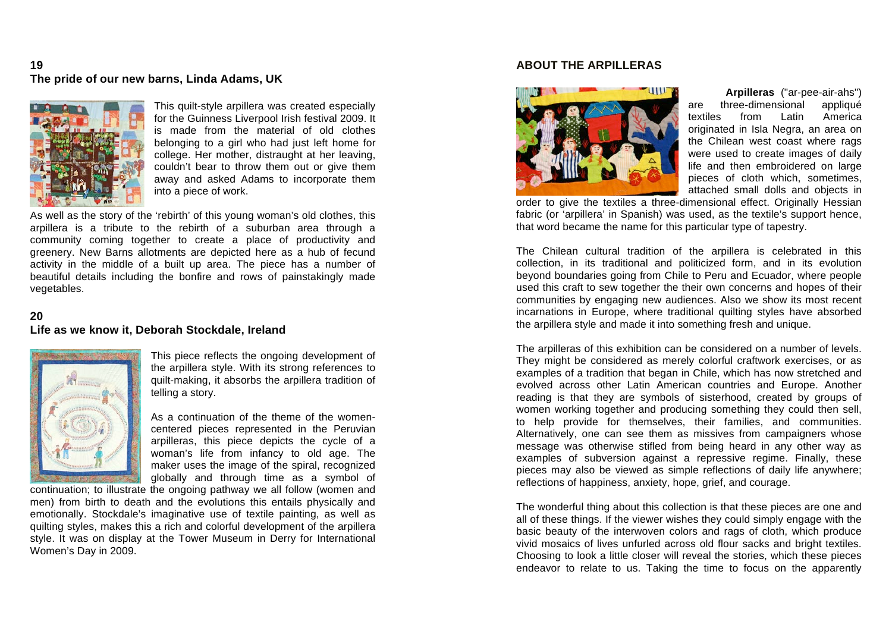## **19 The pride of our new barns, Linda Adams, UK**



This quilt-style arpillera was created especially for the Guinness Liverpool Irish festival 2009. It is made from the material of old clothes belonging to a girl who had just left home for college. Her mother, distraught at her leaving, couldn't bear to throw them out or give them away and asked Adams to incorporate them into a piece of work.

As well as the story of the 'rebirth' of this young woman's old clothes, this arpillera is a tribute to the rebirth of a suburban area through a community coming together to create a place of productivity and greenery. New Barns allotments are depicted here as a hub of fecund activity in the middle of a built up area. The piece has a number of beautiful details including the bonfire and rows of painstakingly made vegetables.

## **20**

#### **Life as we know it, Deborah Stockdale, Ireland**



This piece reflects the ongoing development of the arpillera style. With its strong references to quilt-making, it absorbs the arpillera tradition of telling a story.

As a continuation of the theme of the womencentered pieces represented in the Peruvian arpilleras, this piece depicts the cycle of a woman's life from infancy to old age. The maker uses the image of the spiral, recognized globally and through time as a symbol of

continuation; to illustrate the ongoing pathway we all follow (women and men) from birth to death and the evolutions this entails physically and emotionally. Stockdale's imaginative use of textile painting, as well as quilting styles, makes this a rich and colorful development of the arpillera style. It was on display at the Tower Museum in Derry for International Women's Day in 2009.

#### **ABOUT THE ARPILLERAS**



**Arpilleras** ("ar-pee-air-ahs") are three-dimensional appliqué textiles from Latin America originated in Isla Negra, an area on the Chilean west coast where rags were used to create images of daily life and then embroidered on large pieces of cloth which, sometimes, attached small dolls and objects in

order to give the textiles a three-dimensional effect. Originally Hessian fabric (or 'arpillera' in Spanish) was used, as the textile's support hence, that word became the name for this particular type of tapestry.

The Chilean cultural tradition of the arpillera is celebrated in this collection, in its traditional and politicized form, and in its evolution beyond boundaries going from Chile to Peru and Ecuador, where people used this craft to sew together the their own concerns and hopes of their communities by engaging new audiences. Also we show its most recent incarnations in Europe, where traditional quilting styles have absorbed the arpillera style and made it into something fresh and unique.

The arpilleras of this exhibition can be considered on a number of levels. They might be considered as merely colorful craftwork exercises, or as examples of a tradition that began in Chile, which has now stretched and evolved across other Latin American countries and Europe. Another reading is that they are symbols of sisterhood, created by groups of women working together and producing something they could then sell, to help provide for themselves, their families, and communities. Alternatively, one can see them as missives from campaigners whose message was otherwise stifled from being heard in any other way as examples of subversion against a repressive regime. Finally, these pieces may also be viewed as simple reflections of daily life anywhere; reflections of happiness, anxiety, hope, grief, and courage.

The wonderful thing about this collection is that these pieces are one and all of these things. If the viewer wishes they could simply engage with the basic beauty of the interwoven colors and rags of cloth, which produce vivid mosaics of lives unfurled across old flour sacks and bright textiles. Choosing to look a little closer will reveal the stories, which these pieces endeavor to relate to us. Taking the time to focus on the apparently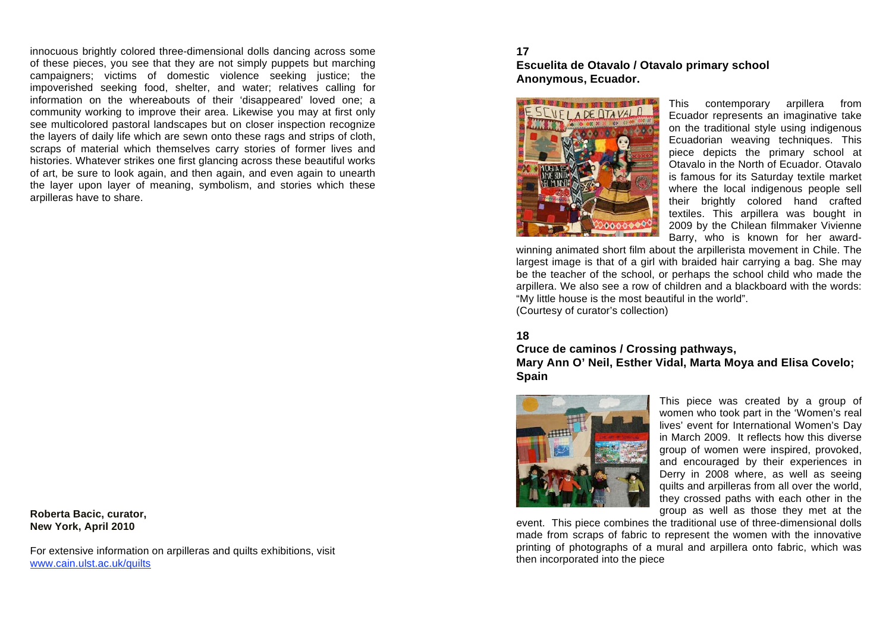innocuous brightly colored three-dimensional dolls dancing across some of these pieces, you see that they are not simply puppets but marching campaigners; victims of domestic violence seeking justice; the impoverished seeking food, shelter, and water; relatives calling for information on the whereabouts of their 'disappeared' loved one; a community working to improve their area. Likewise you may at first only see multicolored pastoral landscapes but on closer inspection recognize the layers of daily life which are sewn onto these rags and strips of cloth, scraps of material which themselves carry stories of former lives and histories. Whatever strikes one first glancing across these beautiful works of art, be sure to look again, and then again, and even again to unearth the layer upon layer of meaning, symbolism, and stories which these arpilleras have to share.

**Roberta Bacic, curator, New York, April 2010**

For extensive information on arpilleras and quilts exhibitions, visit www.cain.ulst.ac.uk/quilts

## **17 Escuelita de Otavalo / Otavalo primary school Anonymous, Ecuador.**



This contemporary arpillera from Ecuador represents an imaginative take on the traditional style using indigenous Ecuadorian weaving techniques. This piece depicts the primary school at Otavalo in the North of Ecuador. Otavalo is famous for its Saturday textile market where the local indigenous people sell their brightly colored hand crafted textiles. This arpillera was bought in 2009 by the Chilean filmmaker Vivienne Barry, who is known for her award-

winning animated short film about the arpillerista movement in Chile. The largest image is that of a girl with braided hair carrying a bag. She may be the teacher of the school, or perhaps the school child who made the arpillera. We also see a row of children and a blackboard with the words: "My little house is the most beautiful in the world". (Courtesy of curator's collection)

# **18**

## **Cruce de caminos / Crossing pathways, Mary Ann O' Neil, Esther Vidal, Marta Moya and Elisa Covelo; Spain**



This piece was created by a group of women who took part in the 'Women's real lives' event for International Women's Day in March 2009. It reflects how this diverse group of women were inspired, provoked, and encouraged by their experiences in Derry in 2008 where, as well as seeing quilts and arpilleras from all over the world, they crossed paths with each other in the group as well as those they met at the

event. This piece combines the traditional use of three-dimensional dolls made from scraps of fabric to represent the women with the innovative printing of photographs of a mural and arpillera onto fabric, which was then incorporated into the piece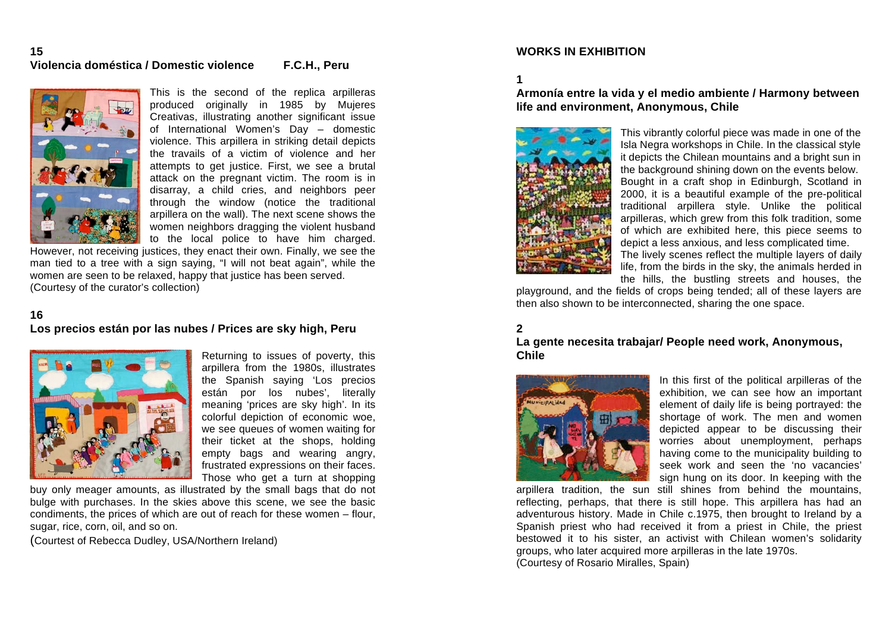#### **15 Violencia doméstica / Domestic violence F.C.H., Peru**



This is the second of the replica arpilleras produced originally in 1985 by Mujeres Creativas, illustrating another significant issue of International Women's Day – domestic violence. This arpillera in striking detail depicts the travails of a victim of violence and her attempts to get justice. First, we see a brutal attack on the pregnant victim. The room is in disarray, a child cries, and neighbors peer through the window (notice the traditional arpillera on the wall). The next scene shows the women neighbors dragging the violent husband to the local police to have him charged.

However, not receiving justices, they enact their own. Finally, we see the man tied to a tree with a sign saying, "I will not beat again", while the women are seen to be relaxed, happy that justice has been served. (Courtesy of the curator's collection)

### **16**

## **Los precios están por las nubes / Prices are sky high, Peru**



Returning to issues of poverty, this arpillera from the 1980s, illustrates the Spanish saying 'Los precios están por los nubes', literally meaning 'prices are sky high'. In its colorful depiction of economic woe, we see queues of women waiting for their ticket at the shops, holding empty bags and wearing angry, frustrated expressions on their faces. Those who get a turn at shopping

buy only meager amounts, as illustrated by the small bags that do not bulge with purchases. In the skies above this scene, we see the basic condiments, the prices of which are out of reach for these women – flour, sugar, rice, corn, oil, and so on.

(Courtest of Rebecca Dudley, USA/Northern Ireland)

#### **WORKS IN EXHIBITION**

**1**

## **Armonía entre la vida y el medio ambiente / Harmony between life and environment, Anonymous, Chile**



This vibrantly colorful piece was made in one of the Isla Negra workshops in Chile. In the classical style it depicts the Chilean mountains and a bright sun in the background shining down on the events below. Bought in a craft shop in Edinburgh, Scotland in 2000, it is a beautiful example of the pre-political traditional arpillera style. Unlike the political arpilleras, which grew from this folk tradition, some of which are exhibited here, this piece seems to depict a less anxious, and less complicated time. The lively scenes reflect the multiple layers of daily life, from the birds in the sky, the animals herded in the hills, the bustling streets and houses, the

playground, and the fields of crops being tended; all of these layers are then also shown to be interconnected, sharing the one space.

## **2**

#### **La gente necesita trabajar/ People need work, Anonymous, Chile**



In this first of the political arpilleras of the exhibition, we can see how an important element of daily life is being portrayed: the shortage of work. The men and women depicted appear to be discussing their worries about unemployment, perhaps having come to the municipality building to seek work and seen the 'no vacancies' sign hung on its door. In keeping with the

arpillera tradition, the sun still shines from behind the mountains, reflecting, perhaps, that there is still hope. This arpillera has had an adventurous history. Made in Chile c.1975, then brought to Ireland by a Spanish priest who had received it from a priest in Chile, the priest bestowed it to his sister, an activist with Chilean women's solidarity groups, who later acquired more arpilleras in the late 1970s. (Courtesy of Rosario Miralles, Spain)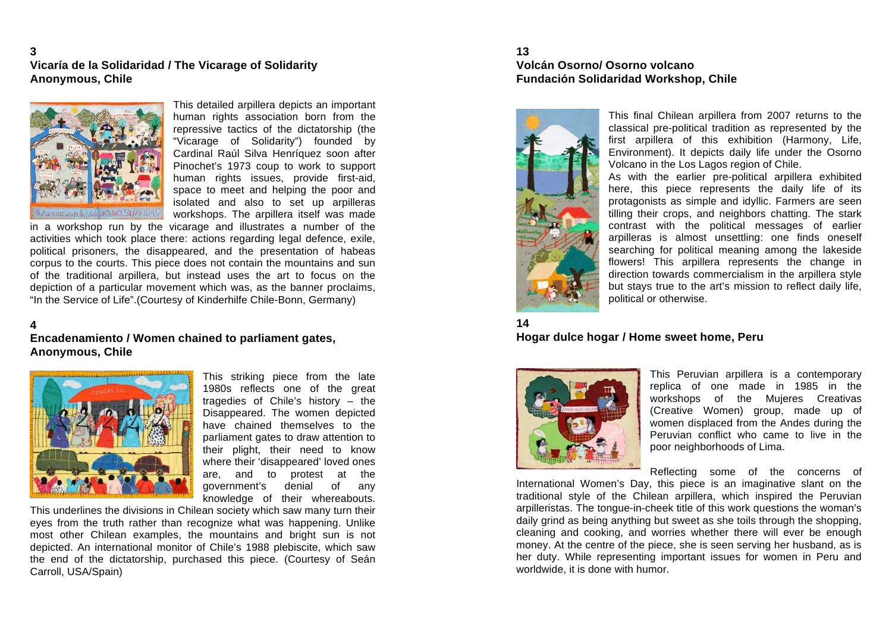**3 Vicaría de la Solidaridad / The Vicarage of Solidarity Anonymous, Chile**



This detailed arpillera depicts an important human rights association born from the repressive tactics of the dictatorship (the "Vicarage of Solidarity") founded by Cardinal Raúl Silva Henríquez soon after Pinochet's 1973 coup to work to support human rights issues, provide first-aid, space to meet and helping the poor and isolated and also to set up arpilleras workshops. The arpillera itself was made

in a workshop run by the vicarage and illustrates a number of the activities which took place there: actions regarding legal defence, exile, political prisoners, the disappeared, and the presentation of habeas corpus to the courts. This piece does not contain the mountains and sun of the traditional arpillera, but instead uses the art to focus on the depiction of a particular movement which was, as the banner proclaims, "In the Service of Life".(Courtesy of Kinderhilfe Chile-Bonn, Germany)

#### **4**

**Encadenamiento / Women chained to parliament gates, Anonymous, Chile**



This striking piece from the late 1980s reflects one of the great tragedies of Chile's history – the Disappeared. The women depicted have chained themselves to the parliament gates to draw attention to their plight, their need to know where their 'disappeared' loved ones are, and to protest at the government's denial of any knowledge of their whereabouts.

This underlines the divisions in Chilean society which saw many turn their eyes from the truth rather than recognize what was happening. Unlike most other Chilean examples, the mountains and bright sun is not depicted. An international monitor of Chile's 1988 plebiscite, which saw the end of the dictatorship, purchased this piece. (Courtesy of Seán Carroll, USA/Spain)

#### **13 Volcán Osorno/ Osorno volcano Fundación Solidaridad Workshop, Chile**



This final Chilean arpillera from 2007 returns to the classical pre-political tradition as represented by the first arpillera of this exhibition (Harmony, Life, Environment). It depicts daily life under the Osorno Volcano in the Los Lagos region of Chile.

As with the earlier pre-political arpillera exhibited here, this piece represents the daily life of its protagonists as simple and idyllic. Farmers are seen tilling their crops, and neighbors chatting. The stark contrast with the political messages of earlier arpilleras is almost unsettling: one finds oneself searching for political meaning among the lakeside flowers! This arpillera represents the change in direction towards commercialism in the arpillera style but stays true to the art's mission to reflect daily life, political or otherwise.

#### **14**

**Hogar dulce hogar / Home sweet home, Peru**



This Peruvian arpillera is a contemporary replica of one made in 1985 in the workshops of the Mujeres Creativas (Creative Women) group, made up of women displaced from the Andes during the Peruvian conflict who came to live in the poor neighborhoods of Lima.

Reflecting some of the concerns of

International Women's Day, this piece is an imaginative slant on the traditional style of the Chilean arpillera, which inspired the Peruvian arpilleristas. The tongue-in-cheek title of this work questions the woman's daily grind as being anything but sweet as she toils through the shopping, cleaning and cooking, and worries whether there will ever be enough money. At the centre of the piece, she is seen serving her husband, as is her duty. While representing important issues for women in Peru and worldwide, it is done with humor.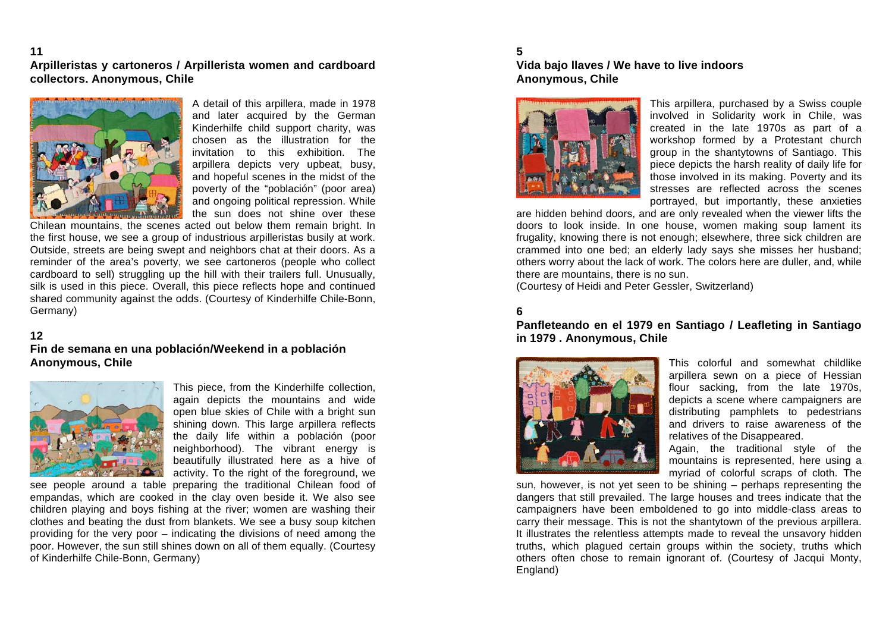#### **11 Arpilleristas y cartoneros / Arpillerista women and cardboard collectors. Anonymous, Chile**



A detail of this arpillera, made in 1978 and later acquired by the German Kinderhilfe child support charity, was chosen as the illustration for the invitation to this exhibition. The arpillera depicts very upbeat, busy, and hopeful scenes in the midst of the poverty of the "población" (poor area) and ongoing political repression. While the sun does not shine over these

Chilean mountains, the scenes acted out below them remain bright. In the first house, we see a group of industrious arpilleristas busily at work. Outside, streets are being swept and neighbors chat at their doors. As a reminder of the area's poverty, we see cartoneros (people who collect cardboard to sell) struggling up the hill with their trailers full. Unusually, silk is used in this piece. Overall, this piece reflects hope and continued shared community against the odds. (Courtesy of Kinderhilfe Chile-Bonn, Germany)

#### **12**

### **Fin de semana en una población/Weekend in a población Anonymous, Chile**



This piece, from the Kinderhilfe collection, again depicts the mountains and wide open blue skies of Chile with a bright sun shining down. This large arpillera reflects the daily life within a población (poor neighborhood). The vibrant energy is beautifully illustrated here as a hive of activity. To the right of the foreground, we

see people around a table preparing the traditional Chilean food of empandas, which are cooked in the clay oven beside it. We also see children playing and boys fishing at the river; women are washing their clothes and beating the dust from blankets. We see a busy soup kitchen providing for the very poor – indicating the divisions of need among the poor. However, the sun still shines down on all of them equally. (Courtesy of Kinderhilfe Chile-Bonn, Germany)

## **5 Vida bajo llaves / We have to live indoors Anonymous, Chile**



This arpillera, purchased by a Swiss couple involved in Solidarity work in Chile, was created in the late 1970s as part of a workshop formed by a Protestant church group in the shantytowns of Santiago. This piece depicts the harsh reality of daily life for those involved in its making. Poverty and its stresses are reflected across the scenes portrayed, but importantly, these anxieties

are hidden behind doors, and are only revealed when the viewer lifts the doors to look inside. In one house, women making soup lament its frugality, knowing there is not enough; elsewhere, three sick children are crammed into one bed; an elderly lady says she misses her husband; others worry about the lack of work. The colors here are duller, and, while there are mountains, there is no sun.

(Courtesy of Heidi and Peter Gessler, Switzerland)

# **6**

#### **Panfleteando en el 1979 en Santiago / Leafleting in Santiago in 1979 . Anonymous, Chile**



This colorful and somewhat childlike arpillera sewn on a piece of Hessian flour sacking, from the late 1970s, depicts a scene where campaigners are distributing pamphlets to pedestrians and drivers to raise awareness of the relatives of the Disappeared.

Again, the traditional style of the mountains is represented, here using a myriad of colorful scraps of cloth. The

sun, however, is not yet seen to be shining – perhaps representing the dangers that still prevailed. The large houses and trees indicate that the campaigners have been emboldened to go into middle-class areas to carry their message. This is not the shantytown of the previous arpillera. It illustrates the relentless attempts made to reveal the unsavory hidden truths, which plagued certain groups within the society, truths which others often chose to remain ignorant of. (Courtesy of Jacqui Monty, England)